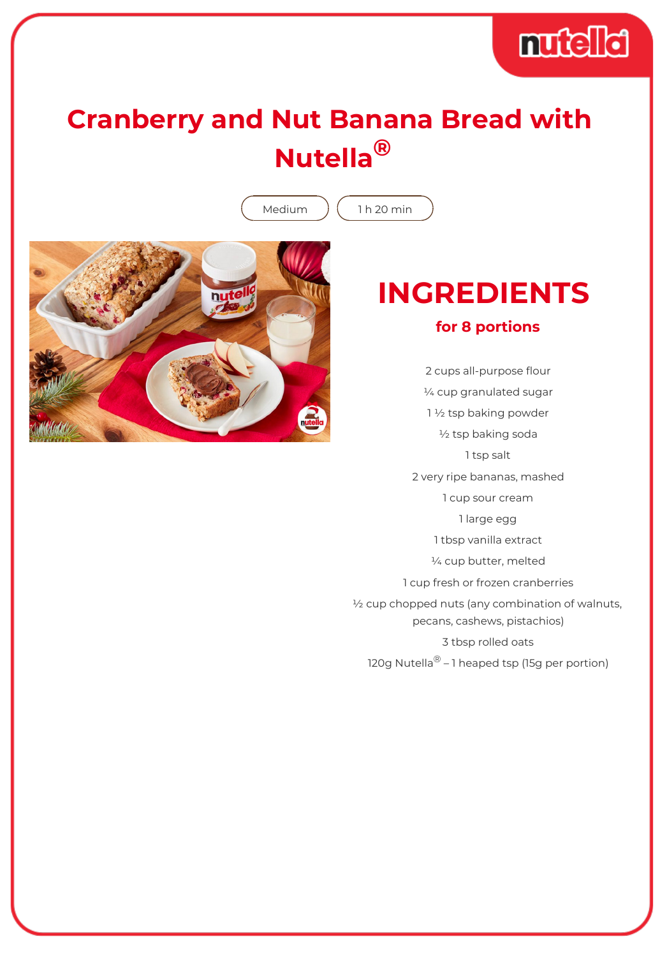

## **Cranberry and Nut Banana Bread with Nutella®**

Medium  $(1 h 20 min)$ 



## **INGREDIENTS for 8 portions**

2 cups all-purpose flour ¼ cup granulated sugar 1 ½ tsp baking powder ½ tsp baking soda 1 tsp salt 2 very ripe bananas, mashed 1 cup sour cream 1 large egg 1 tbsp vanilla extract ¼ cup butter, melted 1 cup fresh or frozen cranberries ½ cup chopped nuts (any combination of walnuts, pecans, cashews, pistachios) 3 tbsp rolled oats 120g Nutella<sup>®</sup> – 1 heaped tsp (15g per portion)